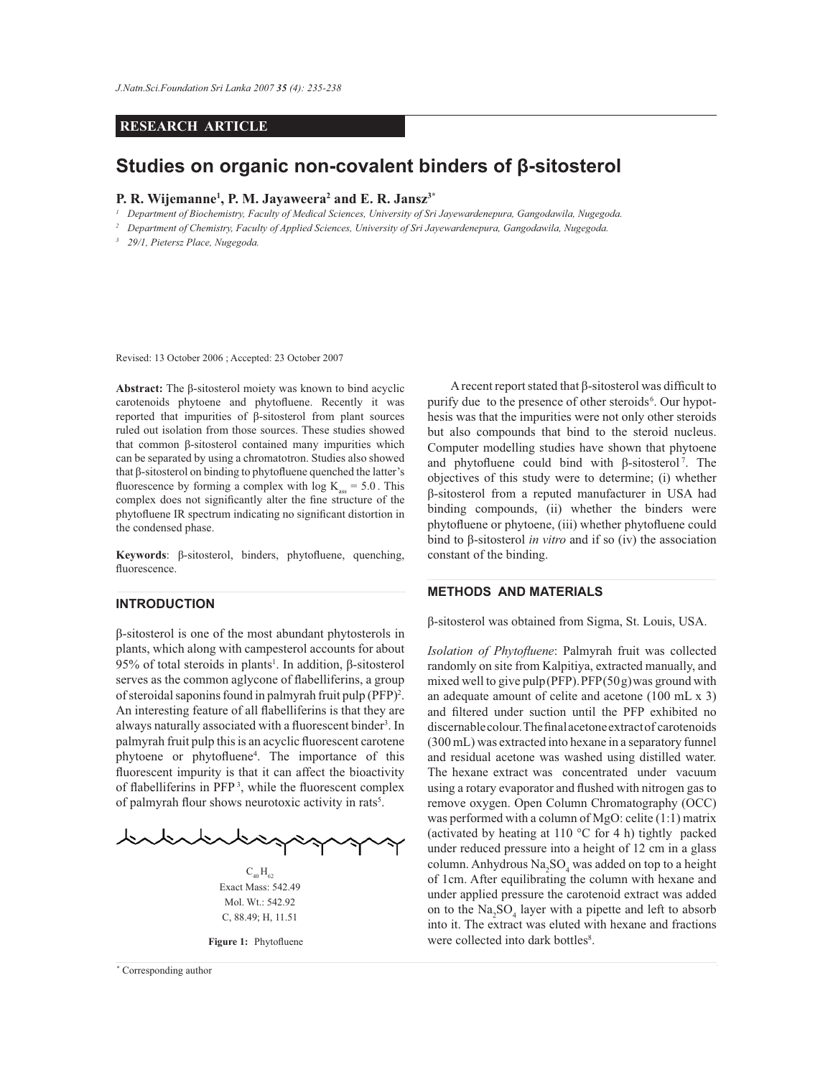# **RESEARCH ARTICLE**

# **Studies on organic non-covalent binders of β-sitosterol**

## **P. R. Wijemanne<sup>1</sup> , P. M. Jayaweera<sup>2</sup> and E. R. Jansz3\***

*1 Department of Biochemistry, Faculty of Medical Sciences, University of Sri Jayewardenepura, Gangodawila, Nugegoda.*

*2 Department of Chemistry, Faculty of Applied Sciences, University of Sri Jayewardenepura, Gangodawila, Nugegoda.*

*3 29/1, Pietersz Place, Nugegoda.*

Revised: 13 October 2006 ; Accepted: 23 October 2007

**Abstract:** The β-sitosterol moiety was known to bind acyclic carotenoids phytoene and phytofluene. Recently it was reported that impurities of β-sitosterol from plant sources ruled out isolation from those sources. These studies showed that common β-sitosterol contained many impurities which can be separated by using a chromatotron. Studies also showed that β-sitosterol on binding to phytofluene quenched the latter's fluorescence by forming a complex with  $log K_{ass} = 5.0$ . This complex does not significantly alter the fine structure of the phytofluene IR spectrum indicating no significant distortion in the condensed phase.

**Keywords**: β-sitosterol, binders, phytofluene, quenching, fluorescence.

# **INTRODUCTION**

β-sitosterol is one of the most abundant phytosterols in plants, which along with campesterol accounts for about 95% of total steroids in plants<sup>1</sup>. In addition,  $\beta$ -sitosterol serves as the common aglycone of flabelliferins, a group of steroidal saponins found in palmyrah fruit pulp (PFP)<sup>2</sup>. An interesting feature of all flabelliferins is that they are always naturally associated with a fluorescent binder<sup>3</sup>. In palmyrah fruit pulp this is an acyclic fluorescent carotene phytoene or phytofluene<sup>4</sup> . The importance of this fluorescent impurity is that it can affect the bioactivity of flabelliferins in PFP <sup>3</sup> , while the fluorescent complex of palmyrah flour shows neurotoxic activity in rats<sup>5</sup>.



 $C_{40}H_{62}$ Exact Mass: 542.49 Mol. Wt.: 542.92 C, 88.49; H, 11.51

**Figure 1:** Phytofluene

*Journal of the National Science Foundation of Sri Lanka 35 (4) December 2007* \* Corresponding author

 A recent report stated that β-sitosterol was difficult to purify due to the presence of other steroids<sup>6</sup>. Our hypothesis was that the impurities were not only other steroids but also compounds that bind to the steroid nucleus. Computer modelling studies have shown that phytoene and phytofluene could bind with β-sitosterol <sup>7</sup> . The objectives of this study were to determine; (i) whether β-sitosterol from a reputed manufacturer in USA had binding compounds, (ii) whether the binders were phytofluene or phytoene, (iii) whether phytofluene could bind to β-sitosterol *in vitro* and if so (iv) the association constant of the binding.

## **METHODS AND MATERIALS**

β-sitosterol was obtained from Sigma, St. Louis, USA.

*Isolation of Phytofluene*: Palmyrah fruit was collected randomly on site from Kalpitiya, extracted manually, and mixed well to give pulp (PFP). PFP (50 g) was ground with an adequate amount of celite and acetone (100 mL x 3) and filtered under suction until the PFP exhibited no discernable colour. The final acetone extract of carotenoids (300 mL) was extracted into hexane in a separatory funnel and residual acetone was washed using distilled water. The hexane extract was concentrated under vacuum using a rotary evaporator and flushed with nitrogen gas to remove oxygen. Open Column Chromatography (OCC) was performed with a column of MgO: celite (1:1) matrix (activated by heating at 110 °C for 4 h) tightly packed under reduced pressure into a height of 12 cm in a glass column. Anhydrous  $\text{Na}_2\text{SO}_4$  was added on top to a height of 1cm. After equilibrating the column with hexane and under applied pressure the carotenoid extract was added on to the  $\text{Na}_2\text{SO}_4$  layer with a pipette and left to absorb into it. The extract was eluted with hexane and fractions were collected into dark bottles<sup>8</sup>.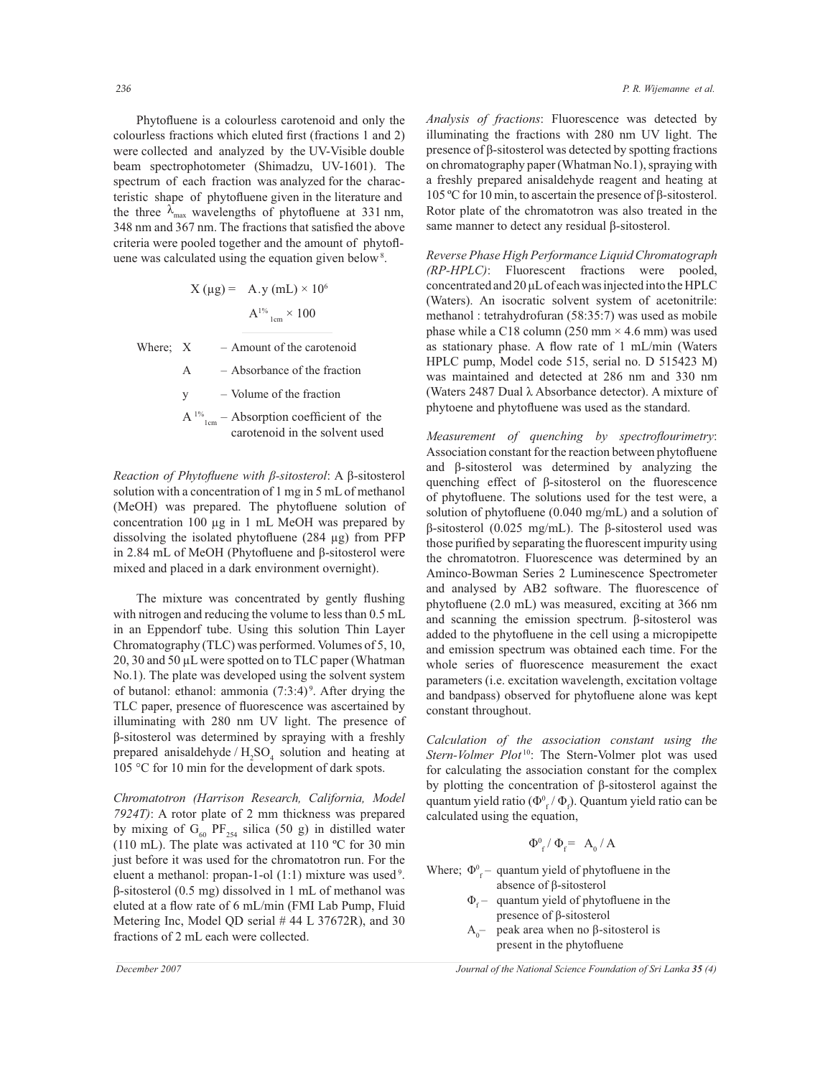Phytofluene is a colourless carotenoid and only the colourless fractions which eluted first (fractions 1 and 2) were collected and analyzed by the UV-Visible double beam spectrophotometer (Shimadzu, UV-1601). The spectrum of each fraction was analyzed for the characteristic shape of phytofluene given in the literature and the three  $\lambda_{\text{max}}$  wavelengths of phytofluene at 331 nm, 348 nm and 367 nm. The fractions that satisfied the above criteria were pooled together and the amount of phytofluene was calculated using the equation given below <sup>8</sup> .

X (µg) = A.y (mL) × 10<sup>6</sup> A1% 1cm × 100

Where;  $X =$  – Amount of the carotenoid

A – Absorbance of the fraction

y – Volume of the fraction

 $A^{1\%}$ <sub>1cm</sub> – Absorption coefficient of the carotenoid in the solvent used

*Reaction of Phytofluene with β-sitosterol*: A β-sitosterol solution with a concentration of 1 mg in 5 mL of methanol (MeOH) was prepared. The phytofluene solution of concentration 100 µg in 1 mL MeOH was prepared by dissolving the isolated phytofluene (284 µg) from PFP in 2.84 mL of MeOH (Phytofluene and β-sitosterol were mixed and placed in a dark environment overnight).

 The mixture was concentrated by gently flushing with nitrogen and reducing the volume to less than 0.5 mL in an Eppendorf tube. Using this solution Thin Layer Chromatography (TLC) was performed. Volumes of 5, 10, 20, 30 and 50 µL were spotted on to TLC paper (Whatman No.1). The plate was developed using the solvent system of butanol: ethanol: ammonia  $(7:3:4)$ <sup>9</sup>. After drying the TLC paper, presence of fluorescence was ascertained by illuminating with 280 nm UV light. The presence of β-sitosterol was determined by spraying with a freshly prepared anisaldehyde  $/H_2SO_4$  solution and heating at 105 °C for 10 min for the development of dark spots.

*Chromatotron (Harrison Research, California, Model 7924T)*: A rotor plate of 2 mm thickness was prepared by mixing of  $G<sub>60</sub> PF<sub>254</sub>$  silica (50 g) in distilled water (110 mL). The plate was activated at 110 ºC for 30 min just before it was used for the chromatotron run. For the eluent a methanol: propan-1-ol (1:1) mixture was used <sup>9</sup> . β-sitosterol (0.5 mg) dissolved in 1 mL of methanol was eluted at a flow rate of 6 mL/min (FMI Lab Pump, Fluid Metering Inc, Model QD serial # 44 L 37672R), and 30 fractions of 2 mL each were collected.

*236 P. R. Wijemanne et al.*

*Analysis of fractions*: Fluorescence was detected by illuminating the fractions with 280 nm UV light. The presence of β-sitosterol was detected by spotting fractions on chromatography paper (Whatman No.1), spraying with a freshly prepared anisaldehyde reagent and heating at 105 ºC for 10 min, to ascertain the presence of β-sitosterol. Rotor plate of the chromatotron was also treated in the same manner to detect any residual β-sitosterol.

*Reverse Phase High Performance Liquid Chromatograph (RP-HPLC)*: Fluorescent fractions were pooled, concentrated and 20 μL of each was injected into the HPLC (Waters). An isocratic solvent system of acetonitrile: methanol : tetrahydrofuran (58:35:7) was used as mobile phase while a C18 column (250 mm  $\times$  4.6 mm) was used as stationary phase. A flow rate of 1 mL/min (Waters HPLC pump, Model code 515, serial no. D 515423 M) was maintained and detected at 286 nm and 330 nm (Waters 2487 Dual λ Absorbance detector). A mixture of phytoene and phytofluene was used as the standard.

*Measurement of quenching by spectroflourimetry*: Association constant for the reaction between phytofluene and β-sitosterol was determined by analyzing the quenching effect of β-sitosterol on the fluorescence of phytofluene. The solutions used for the test were, a solution of phytofluene (0.040 mg/mL) and a solution of β-sitosterol (0.025 mg/mL). The β-sitosterol used was those purified by separating the fluorescent impurity using the chromatotron. Fluorescence was determined by an Aminco-Bowman Series 2 Luminescence Spectrometer and analysed by AB2 software. The fluorescence of phytofluene (2.0 mL) was measured, exciting at 366 nm and scanning the emission spectrum. β-sitosterol was added to the phytofluene in the cell using a micropipette and emission spectrum was obtained each time. For the whole series of fluorescence measurement the exact parameters (i.e. excitation wavelength, excitation voltage and bandpass) observed for phytofluene alone was kept constant throughout.

*Calculation of the association constant using the Stern-Volmer Plot* <sup>10</sup>: The Stern-Volmer plot was used for calculating the association constant for the complex by plotting the concentration of β-sitosterol against the quantum yield ratio ( $\Phi_{f}^{0}/\Phi_{f}$ ). Quantum yield ratio can be calculated using the equation,

$$
\Phi_{f}^{0} / \Phi_{f}^{2} = A_{0} / A
$$

Where;  $\Phi_{f}^{0}$  – quantum yield of phytofluene in the absence of β-sitosterol

- $\Phi_f$  quantum yield of phytofluene in the presence of β-sitosterol
- $A<sub>0</sub>$  peak area when no β-sitosterol is present in the phytofluene

*December 2007 Journal of the National Science Foundation of Sri Lanka 35 (4)*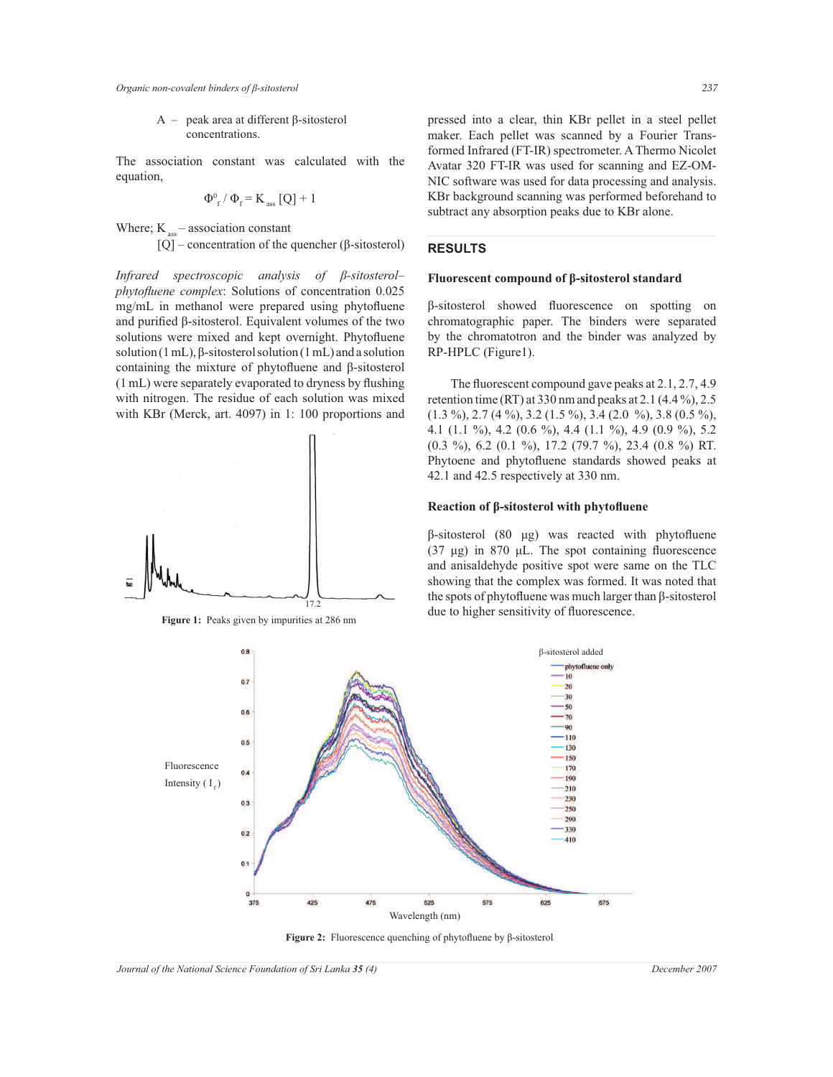A – peak area at different β-sitosterol concentrations.

The association constant was calculated with the equation,

$$
\Phi_{\rm f}^{\rm 0} \left/ \; \Phi_{\rm f}^{\phantom{\rm H}} = K_{\rm ass} \left[ Q \right] + 1
$$

Where;  $K_{\text{ass}}$  – association constant

[Q] – concentration of the quencher ( $\beta$ -sitosterol)

*Infrared spectroscopic analysis of β-sitosterol– phytofluene complex*: Solutions of concentration 0.025 mg/mL in methanol were prepared using phytofluene and purified β-sitosterol. Equivalent volumes of the two solutions were mixed and kept overnight. Phytofluene solution (1 mL), β-sitosterol solution (1 mL) and a solution containing the mixture of phytofluene and β-sitosterol (1 mL) were separately evaporated to dryness by flushing with nitrogen. The residue of each solution was mixed with KBr (Merck, art. 4097) in 1: 100 proportions and



**Figure 1:** Peaks given by impurities at 286 nm

pressed into a clear, thin KBr pellet in a steel pellet maker. Each pellet was scanned by a Fourier Transformed Infrared (FT-IR) spectrometer. A Thermo Nicolet Avatar 320 FT-IR was used for scanning and EZ-OM-NIC software was used for data processing and analysis. KBr background scanning was performed beforehand to subtract any absorption peaks due to KBr alone.

## **RESULTS**

#### **Fluorescent compound of β-sitosterol standard**

β-sitosterol showed fluorescence on spotting on chromatographic paper. The binders were separated by the chromatotron and the binder was analyzed by RP-HPLC (Figure1).

The fluorescent compound gave peaks at 2.1, 2.7, 4.9 retention time (RT) at 330 nm and peaks at 2.1  $(4.4\%), 2.5$  $(1.3 \%)$ ,  $2.7 (4 \%)$ ,  $3.2 (1.5 \%)$ ,  $3.4 (2.0 \%)$ ,  $3.8 (0.5 \%)$ , 4.1 (1.1 %), 4.2 (0.6 %), 4.4 (1.1 %), 4.9 (0.9 %), 5.2 (0.3 %), 6.2 (0.1 %), 17.2 (79.7 %), 23.4 (0.8 %) RT. Phytoene and phytofluene standards showed peaks at 42.1 and 42.5 respectively at 330 nm.

## **Reaction of β-sitosterol with phytofluene**

β-sitosterol (80 μg) was reacted with phytofluene (37 μg) in 870 μL. The spot containing fluorescence and anisaldehyde positive spot were same on the TLC showing that the complex was formed. It was noted that the spots of phytofluene was much larger than β-sitosterol due to higher sensitivity of fluorescence.



**Figure 2:** Fluorescence quenching of phytofluene by β-sitosterol

*Journal of the National Science Foundation of Sri Lanka 35 (4)* December 2007